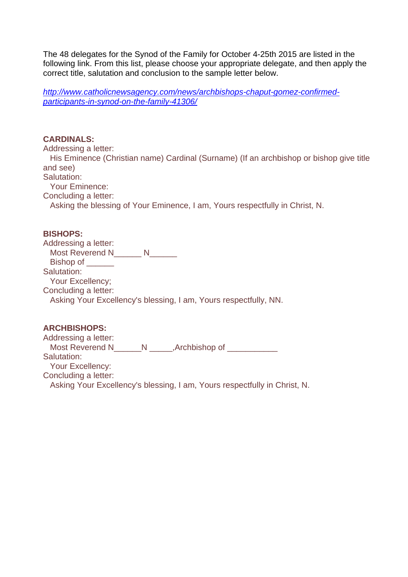The 48 delegates for the Synod of the Family for October 4-25th 2015 are listed in the following link. From this list, please choose your appropriate delegate, and then apply the correct title, salutation and conclusion to the sample letter below.

*[http://www.catholicnewsagency.com/news/archbishops-chaput-gomez-confirmed](http://www.catholicnewsagency.com/news/archbishops-chaput-gomez-confirmed-participants-in-synod-on-the-family-41306/)[participants-in-synod-on-the-family-41306/](http://www.catholicnewsagency.com/news/archbishops-chaput-gomez-confirmed-participants-in-synod-on-the-family-41306/)*

## **CARDINALS:**

Addressing a letter:

 His Eminence (Christian name) Cardinal (Surname) (If an archbishop or bishop give title and see)

Salutation:

Your Eminence:

Concluding a letter:

Asking the blessing of Your Eminence, I am, Yours respectfully in Christ, N.

## **BISHOPS:**

| Addressing a letter:                                             |  |
|------------------------------------------------------------------|--|
| <b>Most Reverend N</b>                                           |  |
| Bishop of                                                        |  |
| Salutation:                                                      |  |
| Your Excellency;                                                 |  |
| Concluding a letter:                                             |  |
| Asking Your Excellency's blessing, I am, Yours respectfully, NN. |  |
|                                                                  |  |

## **ARCHBISHOPS:**

Addressing a letter: Most Reverend N\_\_\_\_\_\_N \_\_\_\_\_,Archbishop of \_\_\_\_\_\_\_\_\_\_\_ Salutation: Your Excellency: Concluding a letter: Asking Your Excellency's blessing, I am, Yours respectfully in Christ, N.